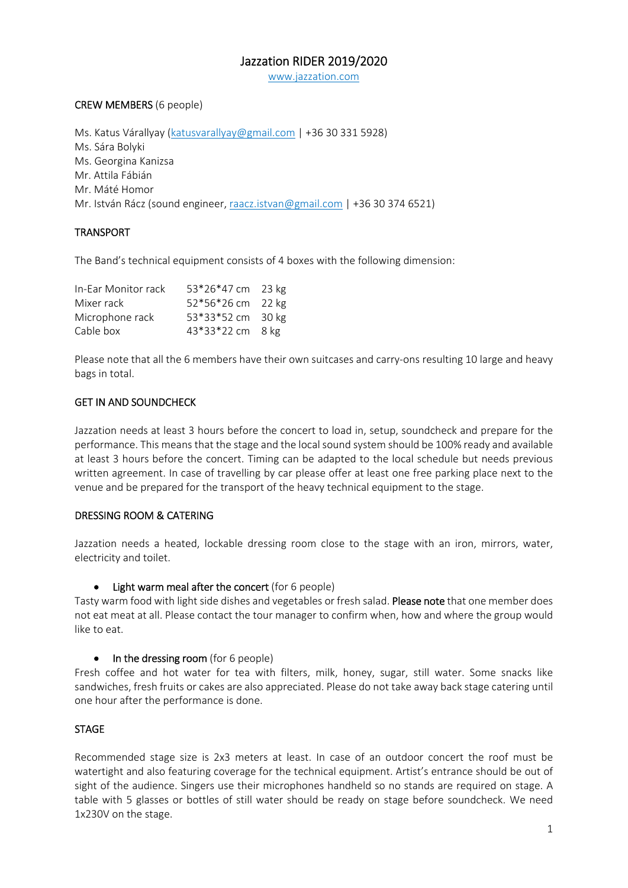# Jazzation RIDER 2019/2020

www.jazzation.com

# CREW MEMBERS (6 people)

Ms. Katus Várallyay (katusvarallyay@gmail.com | +36 30 331 5928) Ms. Sára Bolyki Ms. Georgina Kanizsa Mr. Attila Fábián Mr. Máté Homor Mr. István Rácz (sound engineer, raacz.istvan@gmail.com | +36 30 374 6521)

# TRANSPORT

The Band's technical equipment consists of 4 boxes with the following dimension:

| In-Ear Monitor rack | 53*26*47 cm 23 kg |  |
|---------------------|-------------------|--|
| Mixer rack          | 52*56*26 cm 22 kg |  |
| Microphone rack     | 53*33*52 cm 30 kg |  |
| Cable box           | 43*33*22 cm 8 kg  |  |

Please note that all the 6 members have their own suitcases and carry-ons resulting 10 large and heavy bags in total.

# GET IN AND SOUNDCHECK

Jazzation needs at least 3 hours before the concert to load in, setup, soundcheck and prepare for the performance. This means that the stage and the local sound system should be 100% ready and available at least 3 hours before the concert. Timing can be adapted to the local schedule but needs previous written agreement. In case of travelling by car please offer at least one free parking place next to the venue and be prepared for the transport of the heavy technical equipment to the stage.

# DRESSING ROOM & CATERING

Jazzation needs a heated, lockable dressing room close to the stage with an iron, mirrors, water, electricity and toilet.

#### • Light warm meal after the concert (for 6 people)

Tasty warm food with light side dishes and vegetables or fresh salad. Please note that one member does not eat meat at all. Please contact the tour manager to confirm when, how and where the group would like to eat.

 $\bullet$  In the dressing room (for 6 people)

Fresh coffee and hot water for tea with filters, milk, honey, sugar, still water. Some snacks like sandwiches, fresh fruits or cakes are also appreciated. Please do not take away back stage catering until one hour after the performance is done.

# **STAGE**

Recommended stage size is 2x3 meters at least. In case of an outdoor concert the roof must be watertight and also featuring coverage for the technical equipment. Artist's entrance should be out of sight of the audience. Singers use their microphones handheld so no stands are required on stage. A table with 5 glasses or bottles of still water should be ready on stage before soundcheck. We need 1x230V on the stage.